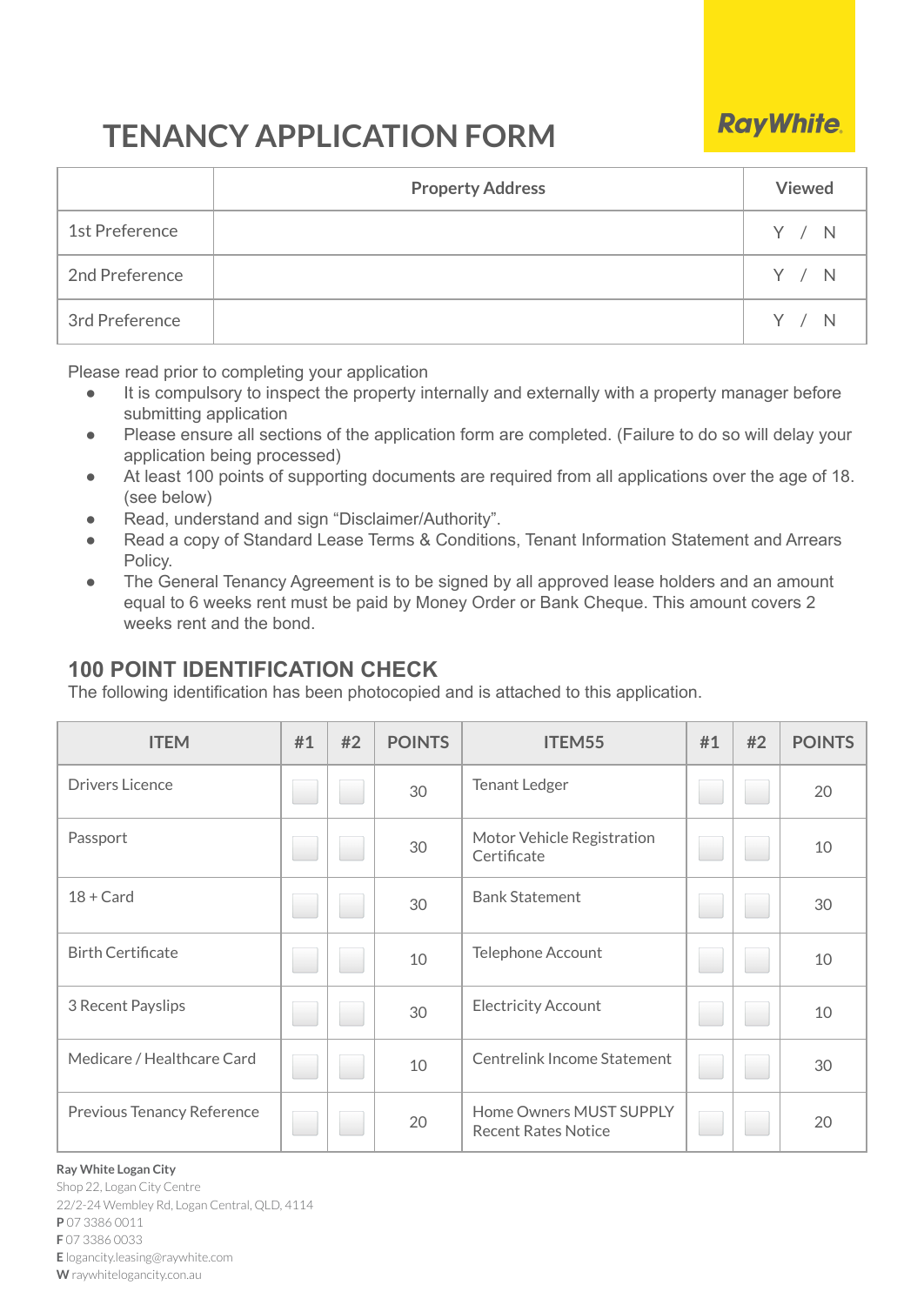# **TENANCY APPLICATION FORM**

# **Property Address Viewed** 1st Preference The Matter of the Second Second Second Second Second Second Second Second Second Second Second S 2nd Preference  $\overline{Y}$  / N 3rd Preference  $\begin{array}{|c|c|c|c|c|c|}\hline \end{array}$  / N

**RayWhite** 

Please read prior to completing your application

- It is compulsory to inspect the property internally and externally with a property manager before submitting application
- Please ensure all sections of the application form are completed. (Failure to do so will delay your application being processed)
- At least 100 points of supporting documents are required from all applications over the age of 18. (see below)
- Read, understand and sign "Disclaimer/Authority".
- Read a copy of Standard Lease Terms & Conditions, Tenant Information Statement and Arrears Policy.
- The General Tenancy Agreement is to be signed by all approved lease holders and an amount equal to 6 weeks rent must be paid by Money Order or Bank Cheque. This amount covers 2 weeks rent and the bond.

## **100 POINT IDENTIFICATION CHECK**

The following identification has been photocopied and is attached to this application.

| <b>ITEM</b>                | #1  | #2 | <b>POINTS</b> | ITEM55                                                | #1 | #2 | <b>POINTS</b> |
|----------------------------|-----|----|---------------|-------------------------------------------------------|----|----|---------------|
| <b>Drivers Licence</b>     |     |    | 30            | <b>Tenant Ledger</b>                                  |    |    | 20            |
| Passport                   |     |    | 30            | Motor Vehicle Registration<br>Certificate             |    |    | 10            |
| $18 + Card$                |     |    | 30            | <b>Bank Statement</b>                                 |    |    | 30            |
| <b>Birth Certificate</b>   |     |    | 10            | Telephone Account                                     |    |    | 10            |
| 3 Recent Payslips          |     |    | 30            | <b>Electricity Account</b>                            |    |    | 10            |
| Medicare / Healthcare Card | ۰   |    | 10            | Centrelink Income Statement                           |    |    | 30            |
| Previous Tenancy Reference | g i |    | 20            | Home Owners MUST SUPPLY<br><b>Recent Rates Notice</b> |    |    | 20            |

#### **Ray White Logan City**

Shop 22, Logan City Centre 22/2-24 Wembley Rd, Logan Central, QLD, 4114 **P** 07 3386 0011 **F** 07 3386 0033 **E** logancity.leasing@raywhite.com **W** raywhitelogancity.con.au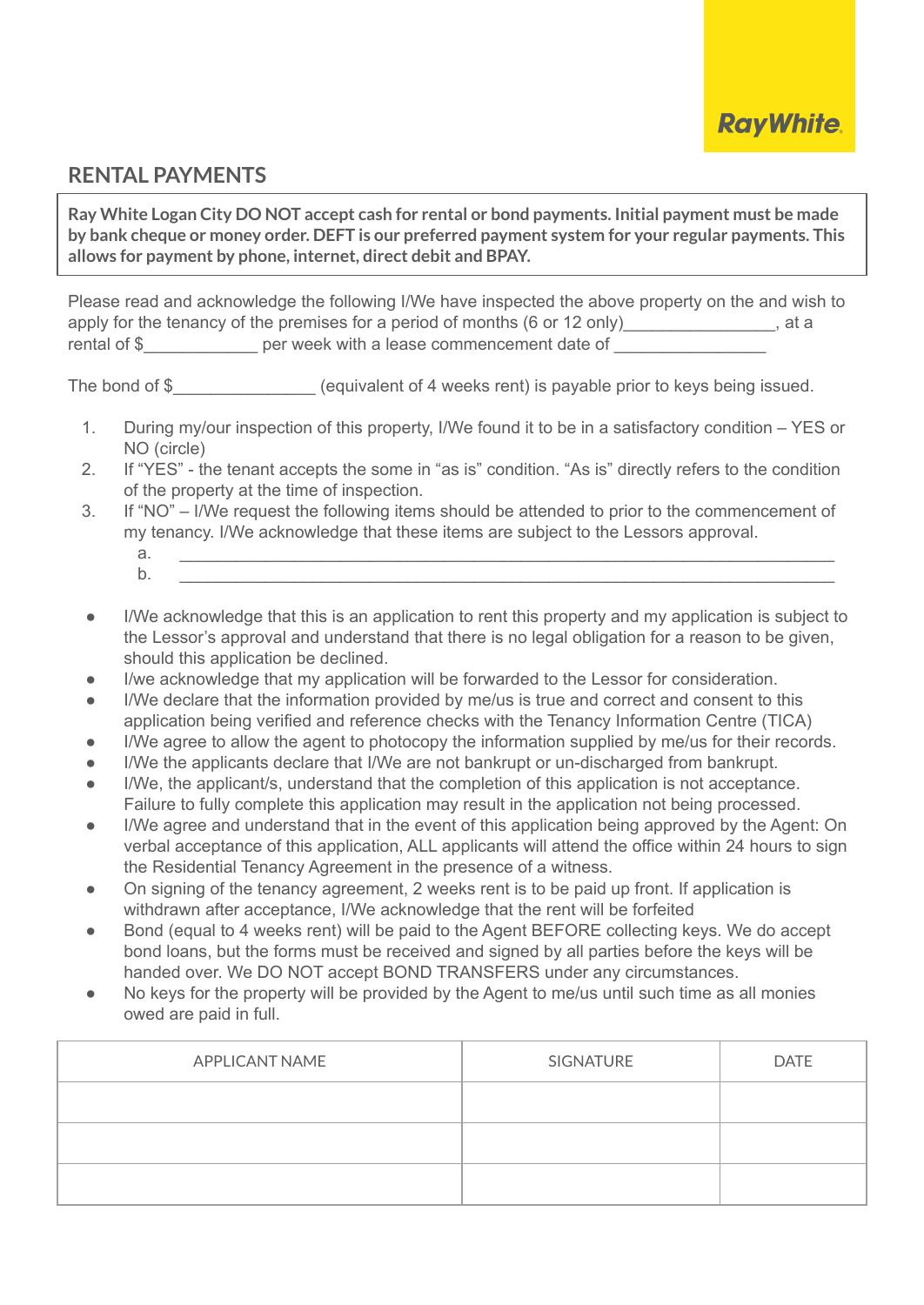

### **RENTAL PAYMENTS**

**Ray White Logan City DO NOT accept cash for rental or bond payments. Initial payment must be made by bank cheque or money order. DEFT is our preferred payment system for your regular payments. This allows for payment by phone, internet, direct debit and BPAY.**

Please read and acknowledge the following I/We have inspected the above property on the and wish to apply for the tenancy of the premises for a period of months (6 or 12 only) and  $\frac{1}{2}$  at a rental of \$ per week with a lease commencement date of

The bond of \$\_\_\_\_\_\_\_\_\_\_\_\_\_\_\_\_\_ (equivalent of 4 weeks rent) is payable prior to keys being issued.

- 1. During my/our inspection of this property, I/We found it to be in a satisfactory condition YES or NO (circle)
- 2. If "YES" the tenant accepts the some in "as is" condition. "As is" directly refers to the condition of the property at the time of inspection.
- 3. If "NO" I/We request the following items should be attended to prior to the commencement of my tenancy. I/We acknowledge that these items are subject to the Lessors approval.
	- a. \_\_\_\_\_\_\_\_\_\_\_\_\_\_\_\_\_\_\_\_\_\_\_\_\_\_\_\_\_\_\_\_\_\_\_\_\_\_\_\_\_\_\_\_\_\_\_\_\_\_\_\_\_\_\_\_\_\_\_\_\_\_\_\_\_\_\_\_\_ b. \_\_\_\_\_\_\_\_\_\_\_\_\_\_\_\_\_\_\_\_\_\_\_\_\_\_\_\_\_\_\_\_\_\_\_\_\_\_\_\_\_\_\_\_\_\_\_\_\_\_\_\_\_\_\_\_\_\_\_\_\_\_\_\_\_\_\_\_\_
- I/We acknowledge that this is an application to rent this property and my application is subject to the Lessor's approval and understand that there is no legal obligation for a reason to be given, should this application be declined.
- I/we acknowledge that my application will be forwarded to the Lessor for consideration.
- I/We declare that the information provided by me/us is true and correct and consent to this application being verified and reference checks with the Tenancy Information Centre (TICA)
- I/We agree to allow the agent to photocopy the information supplied by me/us for their records.
- I/We the applicants declare that I/We are not bankrupt or un-discharged from bankrupt.
- I/We, the applicant/s, understand that the completion of this application is not acceptance. Failure to fully complete this application may result in the application not being processed.
- I/We agree and understand that in the event of this application being approved by the Agent: On verbal acceptance of this application, ALL applicants will attend the office within 24 hours to sign the Residential Tenancy Agreement in the presence of a witness.
- On signing of the tenancy agreement, 2 weeks rent is to be paid up front. If application is withdrawn after acceptance, I/We acknowledge that the rent will be forfeited
- Bond (equal to 4 weeks rent) will be paid to the Agent BEFORE collecting keys. We do accept bond loans, but the forms must be received and signed by all parties before the keys will be handed over. We DO NOT accept BOND TRANSFERS under any circumstances.
- No keys for the property will be provided by the Agent to me/us until such time as all monies owed are paid in full.

| APPLICANT NAME | SIGNATURE | <b>DATE</b> |
|----------------|-----------|-------------|
|                |           |             |
|                |           |             |
|                |           |             |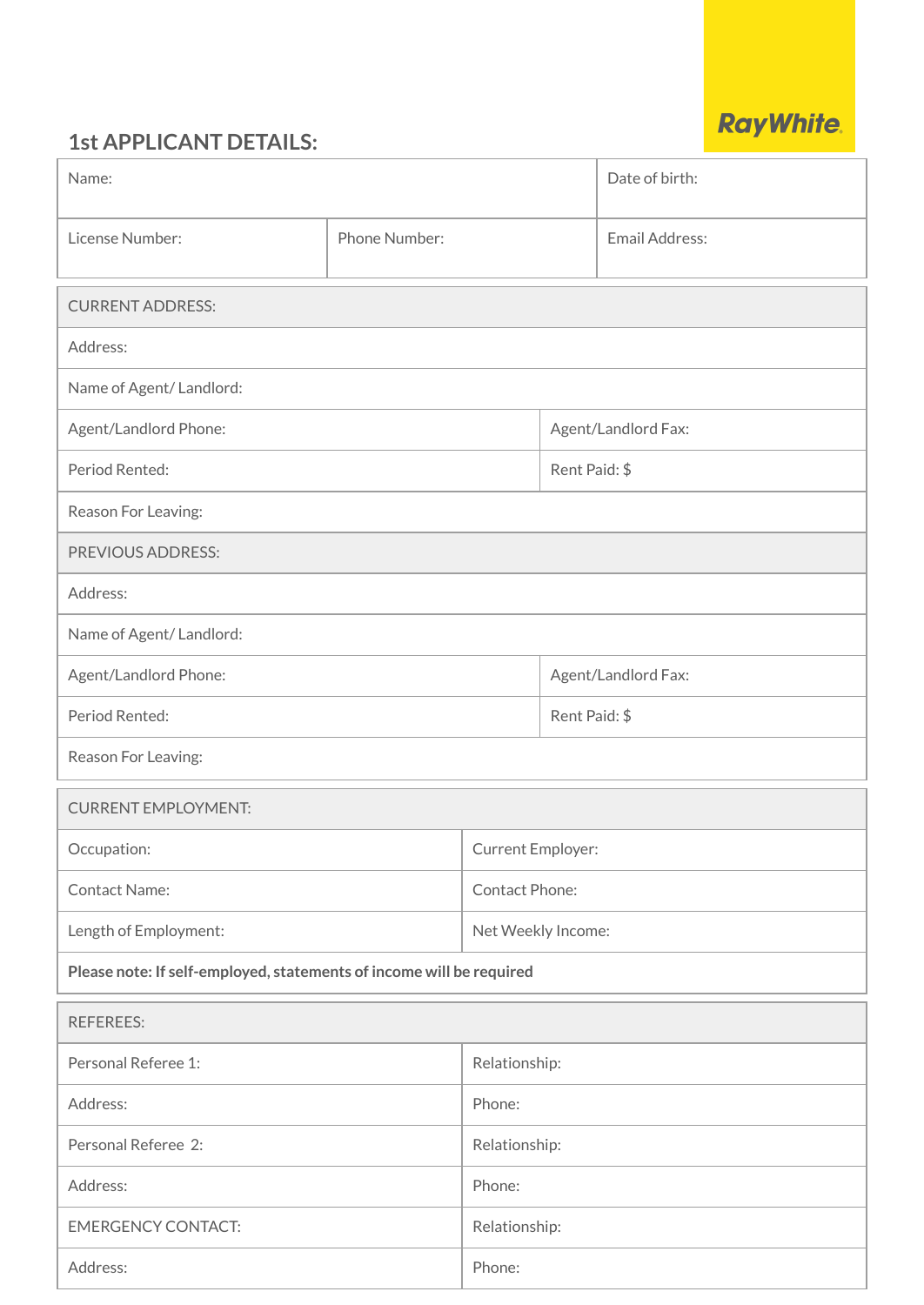# **1st APPLICANT DETAILS:**

| <b>RayWhite.</b> |  |  |
|------------------|--|--|
|                  |  |  |
|                  |  |  |

| Name:                                                                |               |                       |                     | Date of birth: |
|----------------------------------------------------------------------|---------------|-----------------------|---------------------|----------------|
| License Number:                                                      | Phone Number: |                       |                     | Email Address: |
| <b>CURRENT ADDRESS:</b>                                              |               |                       |                     |                |
| Address:                                                             |               |                       |                     |                |
| Name of Agent/Landlord:                                              |               |                       |                     |                |
| Agent/Landlord Phone:                                                |               |                       | Agent/Landlord Fax: |                |
| Period Rented:                                                       |               |                       | Rent Paid: \$       |                |
| Reason For Leaving:                                                  |               |                       |                     |                |
| PREVIOUS ADDRESS:                                                    |               |                       |                     |                |
| Address:                                                             |               |                       |                     |                |
| Name of Agent/ Landlord:                                             |               |                       |                     |                |
| Agent/Landlord Phone:                                                |               | Agent/Landlord Fax:   |                     |                |
| Period Rented:                                                       |               | Rent Paid: \$         |                     |                |
| Reason For Leaving:                                                  |               |                       |                     |                |
| <b>CURRENT EMPLOYMENT:</b>                                           |               |                       |                     |                |
| Occupation:                                                          |               | Current Employer:     |                     |                |
| <b>Contact Name:</b>                                                 |               | <b>Contact Phone:</b> |                     |                |
| Length of Employment:                                                |               |                       | Net Weekly Income:  |                |
| Please note: If self-employed, statements of income will be required |               |                       |                     |                |
| <b>REFEREES:</b>                                                     |               |                       |                     |                |
| Personal Referee 1:                                                  |               | Relationship:         |                     |                |
| Address:                                                             |               | Phone:                |                     |                |
| Personal Referee 2:                                                  |               | Relationship:         |                     |                |
| Address:                                                             |               | Phone:                |                     |                |
| <b>EMERGENCY CONTACT:</b>                                            |               | Relationship:         |                     |                |
| Address:                                                             |               | Phone:                |                     |                |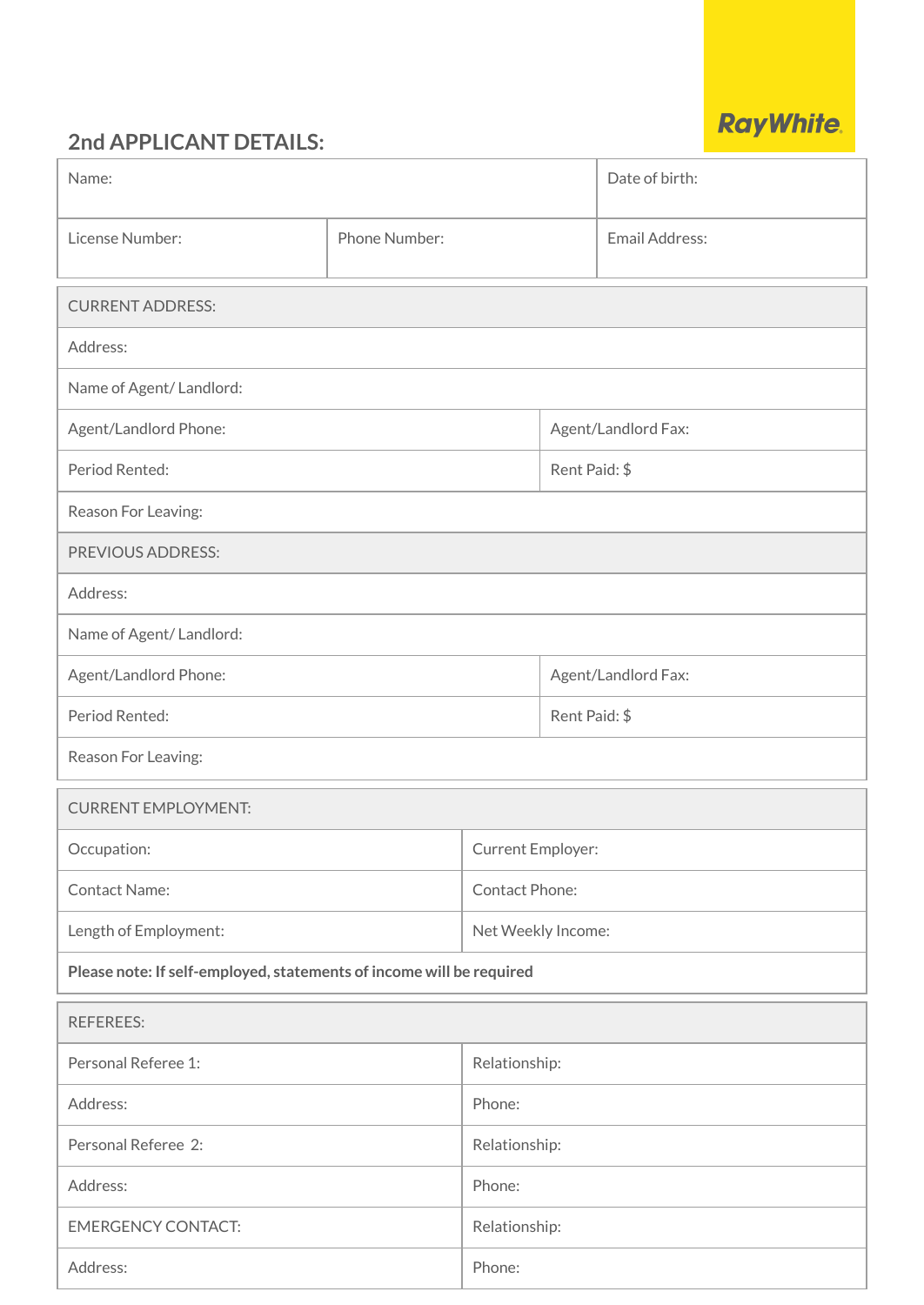# **2nd APPLICANT DETAILS:**

|  | <b>RayWhite.</b> |
|--|------------------|
|  |                  |

| Name:                                                                |               |                       |                     | Date of birth:      |
|----------------------------------------------------------------------|---------------|-----------------------|---------------------|---------------------|
| License Number:                                                      | Phone Number: |                       | Email Address:      |                     |
| <b>CURRENT ADDRESS:</b>                                              |               |                       |                     |                     |
| Address:                                                             |               |                       |                     |                     |
| Name of Agent/Landlord:                                              |               |                       |                     |                     |
| Agent/Landlord Phone:                                                |               |                       |                     | Agent/Landlord Fax: |
| Period Rented:                                                       |               |                       | Rent Paid: \$       |                     |
| Reason For Leaving:                                                  |               |                       |                     |                     |
| PREVIOUS ADDRESS:                                                    |               |                       |                     |                     |
| Address:                                                             |               |                       |                     |                     |
| Name of Agent/Landlord:                                              |               |                       |                     |                     |
| Agent/Landlord Phone:                                                |               |                       | Agent/Landlord Fax: |                     |
| Period Rented:                                                       |               | Rent Paid: \$         |                     |                     |
| Reason For Leaving:                                                  |               |                       |                     |                     |
| <b>CURRENT EMPLOYMENT:</b>                                           |               |                       |                     |                     |
| Occupation:                                                          |               | Current Employer:     |                     |                     |
| <b>Contact Name:</b>                                                 |               | <b>Contact Phone:</b> |                     |                     |
| Length of Employment:                                                |               |                       | Net Weekly Income:  |                     |
| Please note: If self-employed, statements of income will be required |               |                       |                     |                     |
| <b>REFEREES:</b>                                                     |               |                       |                     |                     |
| Personal Referee 1:                                                  |               | Relationship:         |                     |                     |
| Address:                                                             |               | Phone:                |                     |                     |
| Personal Referee 2:                                                  |               | Relationship:         |                     |                     |
| Address:                                                             |               | Phone:                |                     |                     |
| <b>EMERGENCY CONTACT:</b>                                            |               | Relationship:         |                     |                     |
| Address:                                                             |               | Phone:                |                     |                     |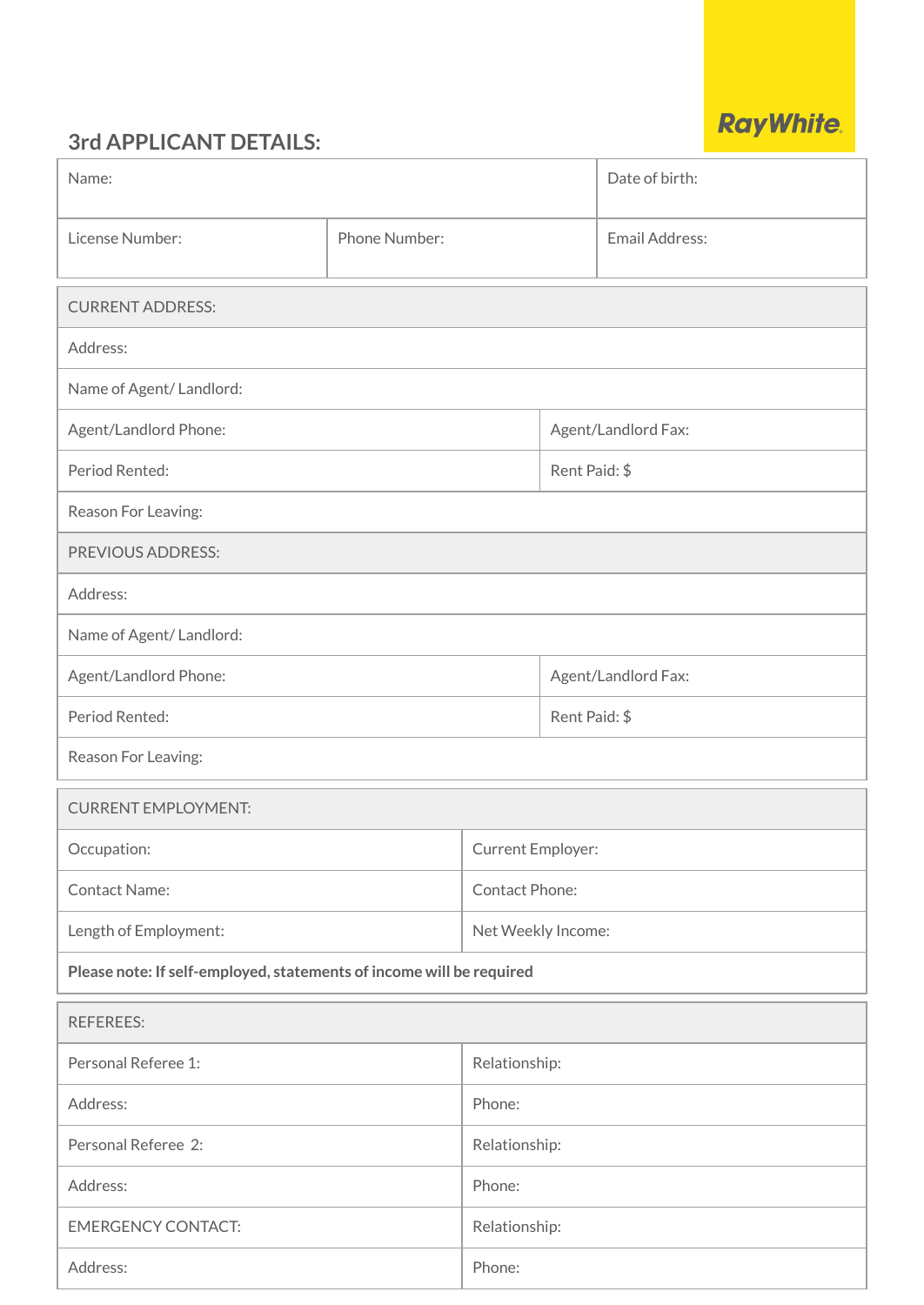# **3rd APPLICANT DETAILS:**

| <b>RayWhite.</b> |  |
|------------------|--|

| Name:                                                                |               |                       |                     | Date of birth: |
|----------------------------------------------------------------------|---------------|-----------------------|---------------------|----------------|
| License Number:                                                      | Phone Number: |                       |                     | Email Address: |
| <b>CURRENT ADDRESS:</b>                                              |               |                       |                     |                |
| Address:                                                             |               |                       |                     |                |
| Name of Agent/Landlord:                                              |               |                       |                     |                |
| Agent/Landlord Phone:                                                |               |                       | Agent/Landlord Fax: |                |
| Period Rented:                                                       |               |                       | Rent Paid: \$       |                |
| Reason For Leaving:                                                  |               |                       |                     |                |
| PREVIOUS ADDRESS:                                                    |               |                       |                     |                |
| Address:                                                             |               |                       |                     |                |
| Name of Agent/ Landlord:                                             |               |                       |                     |                |
| Agent/Landlord Phone:                                                |               | Agent/Landlord Fax:   |                     |                |
| Period Rented:                                                       |               | Rent Paid: \$         |                     |                |
| Reason For Leaving:                                                  |               |                       |                     |                |
| <b>CURRENT EMPLOYMENT:</b>                                           |               |                       |                     |                |
| Occupation:                                                          |               | Current Employer:     |                     |                |
| <b>Contact Name:</b>                                                 |               | <b>Contact Phone:</b> |                     |                |
| Length of Employment:                                                |               |                       | Net Weekly Income:  |                |
| Please note: If self-employed, statements of income will be required |               |                       |                     |                |
| <b>REFEREES:</b>                                                     |               |                       |                     |                |
| Personal Referee 1:                                                  |               | Relationship:         |                     |                |
| Address:                                                             |               | Phone:                |                     |                |
| Personal Referee 2:                                                  |               | Relationship:         |                     |                |
| Address:                                                             |               | Phone:                |                     |                |
| <b>EMERGENCY CONTACT:</b>                                            |               | Relationship:         |                     |                |
| Address:                                                             |               | Phone:                |                     |                |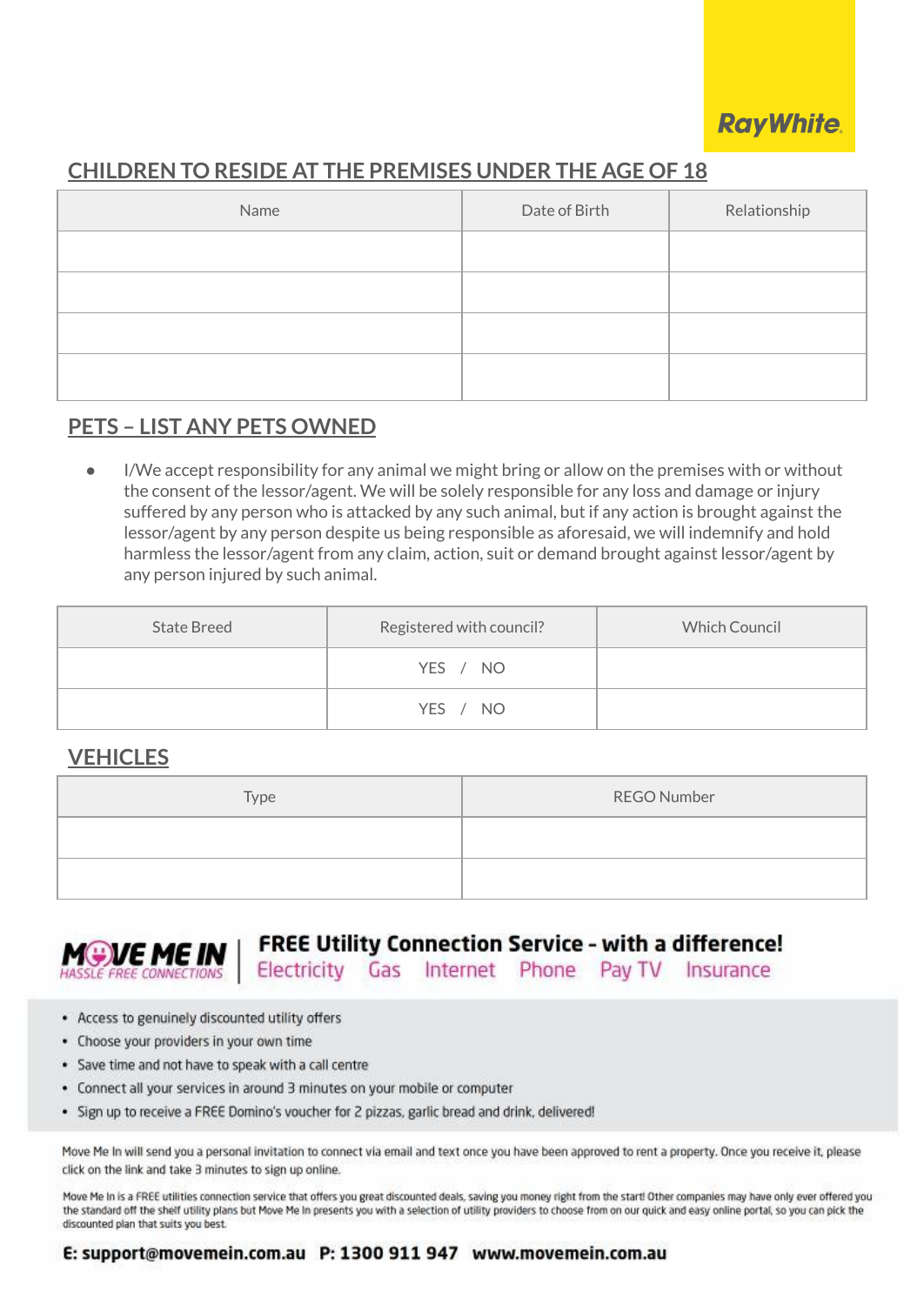

### **CHILDREN TO RESIDE AT THE PREMISES UNDER THE AGE OF 18**

| Name | Date of Birth | Relationship |
|------|---------------|--------------|
|      |               |              |
|      |               |              |
|      |               |              |
|      |               |              |

### **PETS – LIST ANY PETS OWNED**

I/We accept responsibility for any animal we might bring or allow on the premises with or without the consent of the lessor/agent. We will be solely responsible for any loss and damage or injury suffered by any person who is attacked by any such animal, but if any action is brought against the lessor/agent by any person despite us being responsible as aforesaid, we will indemnify and hold harmless the lessor/agent from any claim, action, suit or demand brought against lessor/agent by any person injured by such animal.

| <b>State Breed</b> | Registered with council? | <b>Which Council</b> |
|--------------------|--------------------------|----------------------|
|                    | YES / NO                 |                      |
|                    | YES / NO                 |                      |

#### **VEHICLES**

| Type | <b>REGO Number</b> |
|------|--------------------|
|      |                    |
|      |                    |



**FREE Utility Connection Service - with a difference!** 

Electricity Gas Internet Phone PayTV Insurance

- Access to genuinely discounted utility offers
- Choose your providers in your own time
- · Save time and not have to speak with a call centre
- Connect all your services in around 3 minutes on your mobile or computer
- · Sign up to receive a FREE Domino's voucher for 2 pizzas, garlic bread and drink, delivered!

Move Me In will send you a personal invitation to connect via email and text once you have been approved to rent a property. Once you receive it, please click on the link and take 3 minutes to sign up online.

Move Me In is a FREE utilities connection service that offers you great discounted deals, saving you money right from the start! Other companies may have only ever offered you the standard off the shelf utility plans but Move Me in presents you with a selection of utility providers to choose from on our quick and easy online portal, so you can pick the discounted plan that suits you best.

#### E: support@movemein.com.au P: 1300 911 947 www.movemein.com.au